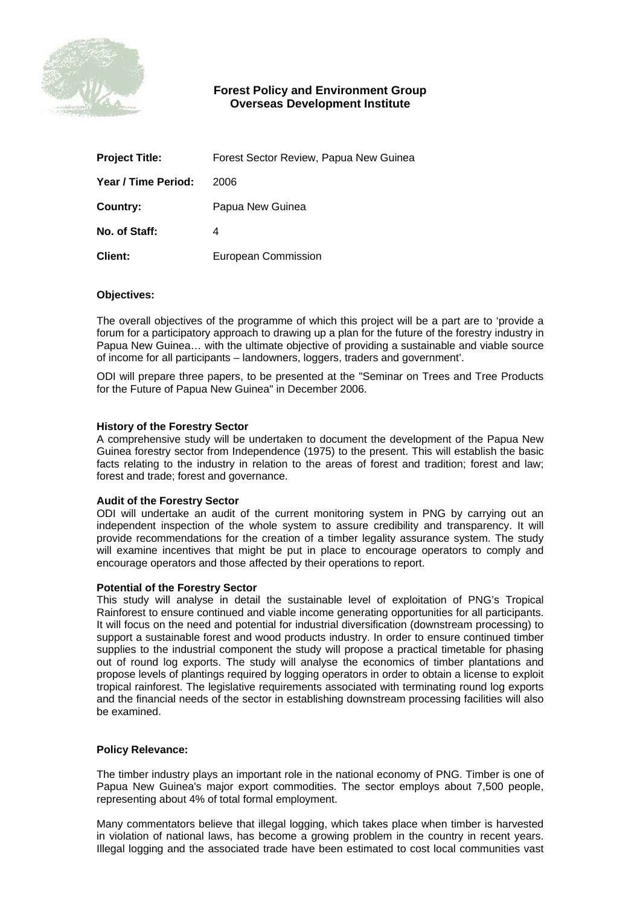

# **Forest Policy and Environment Group Overseas Development Institute**

| <b>Project Title:</b> | Forest Sector Review, Papua New Guinea |
|-----------------------|----------------------------------------|
| Year / Time Period:   | 2006                                   |
| Country:              | Papua New Guinea                       |
| No. of Staff:         | 4                                      |
| Client:               | <b>European Commission</b>             |

### **Objectives:**

The overall objectives of the programme of which this project will be a part are to 'provide a forum for a participatory approach to drawing up a plan for the future of the forestry industry in Papua New Guinea… with the ultimate objective of providing a sustainable and viable source of income for all participants – landowners, loggers, traders and government'.

ODI will prepare three papers, to be presented at the "Seminar on Trees and Tree Products for the Future of Papua New Guinea" in December 2006.

### **History of the Forestry Sector**

A comprehensive study will be undertaken to document the development of the Papua New Guinea forestry sector from Independence (1975) to the present. This will establish the basic facts relating to the industry in relation to the areas of forest and tradition; forest and law; forest and trade; forest and governance.

### **Audit of the Forestry Sector**

ODI will undertake an audit of the current monitoring system in PNG by carrying out an independent inspection of the whole system to assure credibility and transparency. It will provide recommendations for the creation of a timber legality assurance system. The study will examine incentives that might be put in place to encourage operators to comply and encourage operators and those affected by their operations to report.

### **Potential of the Forestry Sector**

This study will analyse in detail the sustainable level of exploitation of PNG's Tropical Rainforest to ensure continued and viable income generating opportunities for all participants. It will focus on the need and potential for industrial diversification (downstream processing) to support a sustainable forest and wood products industry. In order to ensure continued timber supplies to the industrial component the study will propose a practical timetable for phasing out of round log exports. The study will analyse the economics of timber plantations and propose levels of plantings required by logging operators in order to obtain a license to exploit tropical rainforest. The legislative requirements associated with terminating round log exports and the financial needs of the sector in establishing downstream processing facilities will also be examined.

### **Policy Relevance:**

The timber industry plays an important role in the national economy of PNG. Timber is one of Papua New Guinea's major export commodities. The sector employs about 7,500 people, representing about 4% of total formal employment.

Many commentators believe that illegal logging, which takes place when timber is harvested in violation of national laws, has become a growing problem in the country in recent years. Illegal logging and the associated trade have been estimated to cost local communities vast